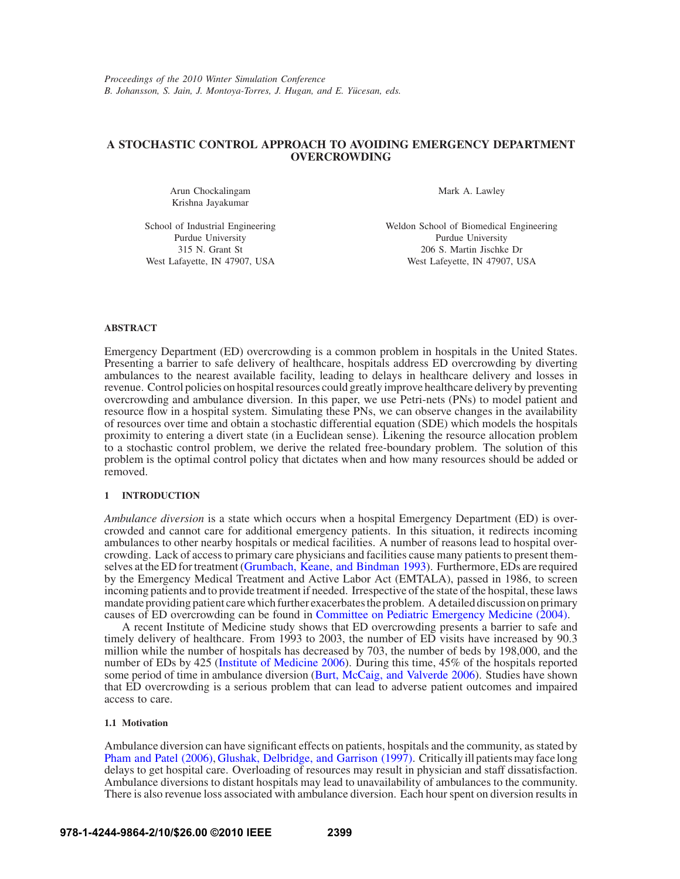# **A STOCHASTIC CONTROL APPROACH TO AVOIDING EMERGENCY DEPARTMENT OVERCROWDING**

Arun Chockalingam Krishna Jayakumar

Mark A. Lawley

School of Industrial Engineering Purdue University 315 N. Grant St West Lafayette, IN 47907, USA Weldon School of Biomedical Engineering Purdue University 206 S. Martin Jischke Dr West Lafeyette, IN 47907, USA

## **ABSTRACT**

Emergency Department (ED) overcrowding is a common problem in hospitals in the United States. Presenting a barrier to safe delivery of healthcare, hospitals address ED overcrowding by diverting ambulances to the nearest available facility, leading to delays in healthcare delivery and losses in revenue. Control policies on hospital resources could greatly improve healthcare delivery by preventing overcrowding and ambulance diversion. In this paper, we use Petri-nets (PNs) to model patient and resource flow in a hospital system. Simulating these PNs, we can observe changes in the availability of resources over time and obtain a stochastic differential equation (SDE) which models the hospitals proximity to entering a divert state (in a Euclidean sense). Likening the resource allocation problem to a stochastic control problem, we derive the related free-boundary problem. The solution of this problem is the optimal control policy that dictates when and how many resources should be added or removed.

## **1 INTRODUCTION**

*Ambulance diversion* is a state which occurs when a hospital Emergency Department (ED) is overcrowded and cannot care for additional emergency patients. In this situation, it redirects incoming ambulances to other nearby hospitals or medical facilities. A number of reasons lead to hospital overcrowding. Lack of access to primary care physicians and facilities cause many patients to present themselves at the ED for treatment (Grumbach, Keane, and Bindman 1993). Furthermore, EDs are required by the Emergency Medical Treatment and Active Labor Act (EMTALA), passed in 1986, to screen incoming patients and to provide treatment if needed. Irrespective of the state of the hospital, these laws mandate providing patient care which further exacerbates the problem. A detailed discussion on primary causes of ED overcrowding can be found in Committee on Pediatric Emergency Medicine (2004).

A recent Institute of Medicine study shows that ED overcrowding presents a barrier to safe and timely delivery of healthcare. From 1993 to 2003, the number of ED visits have increased by 90.3 million while the number of hospitals has decreased by 703, the number of beds by 198,000, and the number of EDs by 425 (Institute of Medicine 2006). During this time, 45% of the hospitals reported some period of time in ambulance diversion (Burt, McCaig, and Valverde 2006). Studies have shown that ED overcrowding is a serious problem that can lead to adverse patient outcomes and impaired access to care.

# **1.1 Motivation**

Ambulance diversion can have significant effects on patients, hospitals and the community, as stated by Pham and Patel (2006), Glushak, Delbridge, and Garrison (1997). Critically ill patients may face long delays to get hospital care. Overloading of resources may result in physician and staff dissatisfaction. Ambulance diversions to distant hospitals may lead to unavailability of ambulances to the community. There is also revenue loss associated with ambulance diversion. Each hour spent on diversion results in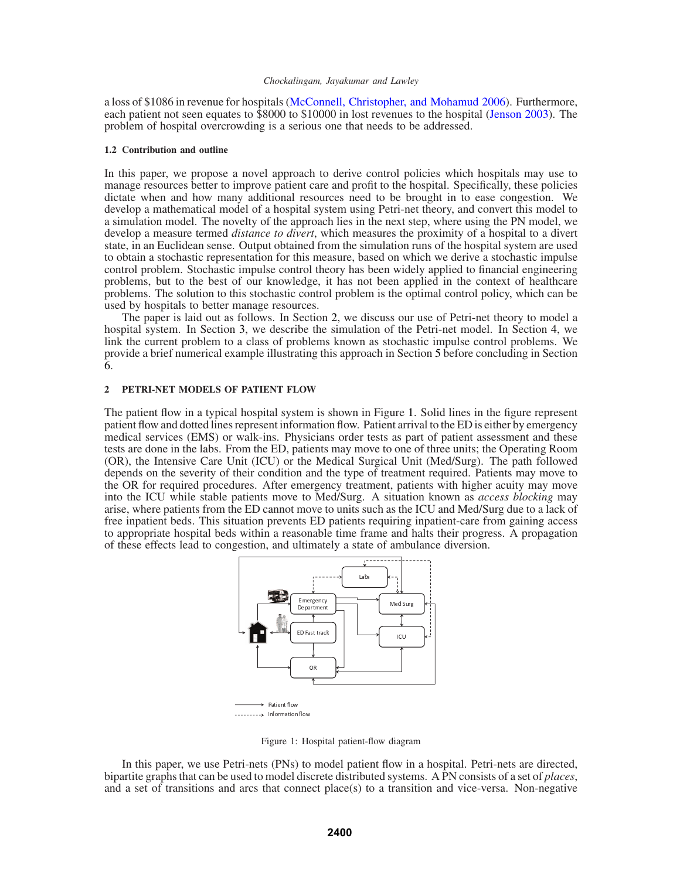a loss of \$1086 in revenue for hospitals (McConnell, Christopher, and Mohamud 2006). Furthermore, each patient not seen equates to \$8000 to \$10000 in lost revenues to the hospital (Jenson 2003). The problem of hospital overcrowding is a serious one that needs to be addressed.

## **1.2 Contribution and outline**

In this paper, we propose a novel approach to derive control policies which hospitals may use to manage resources better to improve patient care and profit to the hospital. Specifically, these policies dictate when and how many additional resources need to be brought in to ease congestion. We develop a mathematical model of a hospital system using Petri-net theory, and convert this model to a simulation model. The novelty of the approach lies in the next step, where using the PN model, we develop a measure termed *distance to divert*, which measures the proximity of a hospital to a divert state, in an Euclidean sense. Output obtained from the simulation runs of the hospital system are used to obtain a stochastic representation for this measure, based on which we derive a stochastic impulse control problem. Stochastic impulse control theory has been widely applied to financial engineering problems, but to the best of our knowledge, it has not been applied in the context of healthcare problems. The solution to this stochastic control problem is the optimal control policy, which can be used by hospitals to better manage resources.

The paper is laid out as follows. In Section 2, we discuss our use of Petri-net theory to model a hospital system. In Section 3, we describe the simulation of the Petri-net model. In Section 4, we link the current problem to a class of problems known as stochastic impulse control problems. We provide a brief numerical example illustrating this approach in Section 5 before concluding in Section 6.

### **2 PETRI-NET MODELS OF PATIENT FLOW**

The patient flow in a typical hospital system is shown in Figure 1. Solid lines in the figure represent patient flow and dotted lines represent information flow. Patient arrival to the ED is either by emergency medical services (EMS) or walk-ins. Physicians order tests as part of patient assessment and these tests are done in the labs. From the ED, patients may move to one of three units; the Operating Room (OR), the Intensive Care Unit (ICU) or the Medical Surgical Unit (Med/Surg). The path followed depends on the severity of their condition and the type of treatment required. Patients may move to the OR for required procedures. After emergency treatment, patients with higher acuity may move into the ICU while stable patients move to Med/Surg. A situation known as *access blocking* may arise, where patients from the ED cannot move to units such as the ICU and Med/Surg due to a lack of free inpatient beds. This situation prevents ED patients requiring inpatient-care from gaining access to appropriate hospital beds within a reasonable time frame and halts their progress. A propagation of these effects lead to congestion, and ultimately a state of ambulance diversion.



Figure 1: Hospital patient-flow diagram

In this paper, we use Petri-nets (PNs) to model patient flow in a hospital. Petri-nets are directed, bipartite graphs that can be used to model discrete distributed systems. A PN consists of a set of *places*, and a set of transitions and arcs that connect place(s) to a transition and vice-versa. Non-negative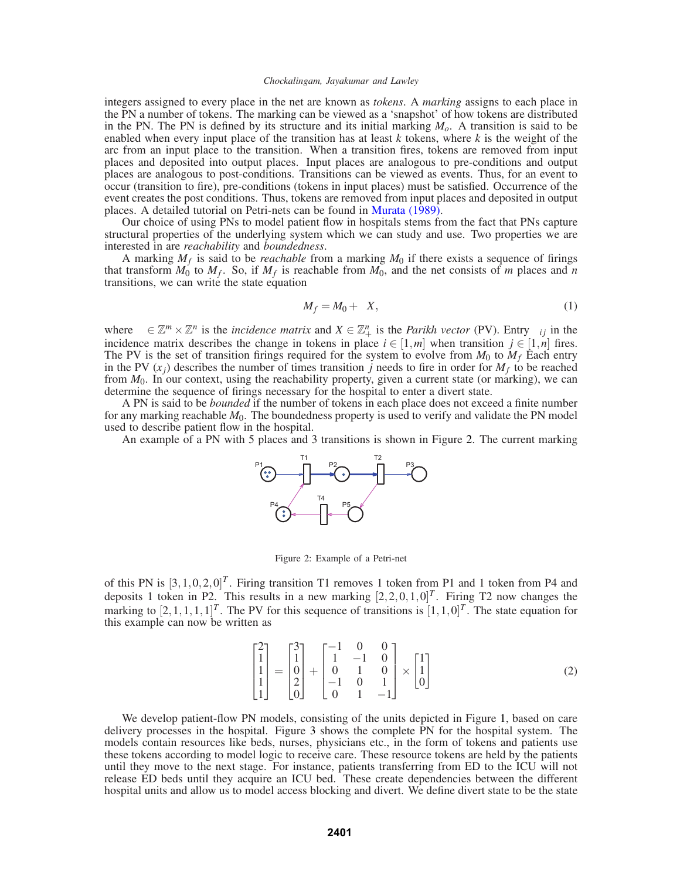integers assigned to every place in the net are known as *tokens*. A *marking* assigns to each place in the PN a number of tokens. The marking can be viewed as a 'snapshot' of how tokens are distributed in the PN. The PN is defined by its structure and its initial marking  $M<sub>o</sub>$ . A transition is said to be enabled when every input place of the transition has at least *k* tokens, where *k* is the weight of the arc from an input place to the transition. When a transition fires, tokens are removed from input places and deposited into output places. Input places are analogous to pre-conditions and output places are analogous to post-conditions. Transitions can be viewed as events. Thus, for an event to occur (transition to fire), pre-conditions (tokens in input places) must be satisfied. Occurrence of the event creates the post conditions. Thus, tokens are removed from input places and deposited in output places. A detailed tutorial on Petri-nets can be found in Murata (1989).

Our choice of using PNs to model patient flow in hospitals stems from the fact that PNs capture structural properties of the underlying system which we can study and use. Two properties we are interested in are *reachability* and *boundedness*.

A marking  $M_f$  is said to be *reachable* from a marking  $M_0$  if there exists a sequence of firings that transform  $M_0$  to  $M_f$ . So, if  $M_f$  is reachable from  $M_0$ , and the net consists of *m* places and *n* transitions, we can write the state equation

$$
M_f = M_0 + \phi X,\tag{1}
$$

where  $\phi \in \mathbb{Z}^m \times \mathbb{Z}^n$  is the *incidence matrix* and  $X \in \mathbb{Z}_+^n$  is the *Parikh vector* (PV). Entry  $\phi_{ij}$  in the incidence matrix describes the change in tokens in place  $i \in [1,m]$  when transition  $j \in [1,n]$  fires. The PV is the set of transition firings required for the system to evolve from  $M_0$  to  $M_f$  Each entry in the PV  $(x_i)$  describes the number of times transition *j* needs to fire in order for  $M_f$  to be reached from *M*0. In our context, using the reachability property, given a current state (or marking), we can determine the sequence of firings necessary for the hospital to enter a divert state.

A PN is said to be *bounded* if the number of tokens in each place does not exceed a finite number for any marking reachable  $M_0$ . The boundedness property is used to verify and validate the PN model used to describe patient flow in the hospital.

An example of a PN with 5 places and 3 transitions is shown in Figure 2. The current marking



Figure 2: Example of a Petri-net

of this PN is  $[3, 1, 0, 2, 0]^T$ . Firing transition T1 removes 1 token from P1 and 1 token from P4 and deposits 1 token in P2. This results in a new marking  $[2,2,0,1,0]^T$ . Firing T2 now changes the marking to  $[2,1,1,1,1]^T$ . The PV for this sequence of transitions is  $[1,1,0]^T$ . The state equation for this example can now be written as

$$
\begin{bmatrix} 2 \\ 1 \\ 1 \\ 1 \\ 1 \end{bmatrix} = \begin{bmatrix} 3 \\ 1 \\ 0 \\ 2 \\ 0 \end{bmatrix} + \begin{bmatrix} -1 & 0 & 0 \\ 1 & -1 & 0 \\ 0 & 1 & 0 \\ -1 & 0 & 1 \\ 0 & 1 & -1 \end{bmatrix} \times \begin{bmatrix} 1 \\ 1 \\ 0 \end{bmatrix}
$$
 (2)

We develop patient-flow PN models, consisting of the units depicted in Figure 1, based on care delivery processes in the hospital. Figure 3 shows the complete PN for the hospital system. The models contain resources like beds, nurses, physicians etc., in the form of tokens and patients use these tokens according to model logic to receive care. These resource tokens are held by the patients until they move to the next stage. For instance, patients transferring from ED to the ICU will not release ED beds until they acquire an ICU bed. These create dependencies between the different hospital units and allow us to model access blocking and divert. We define divert state to be the state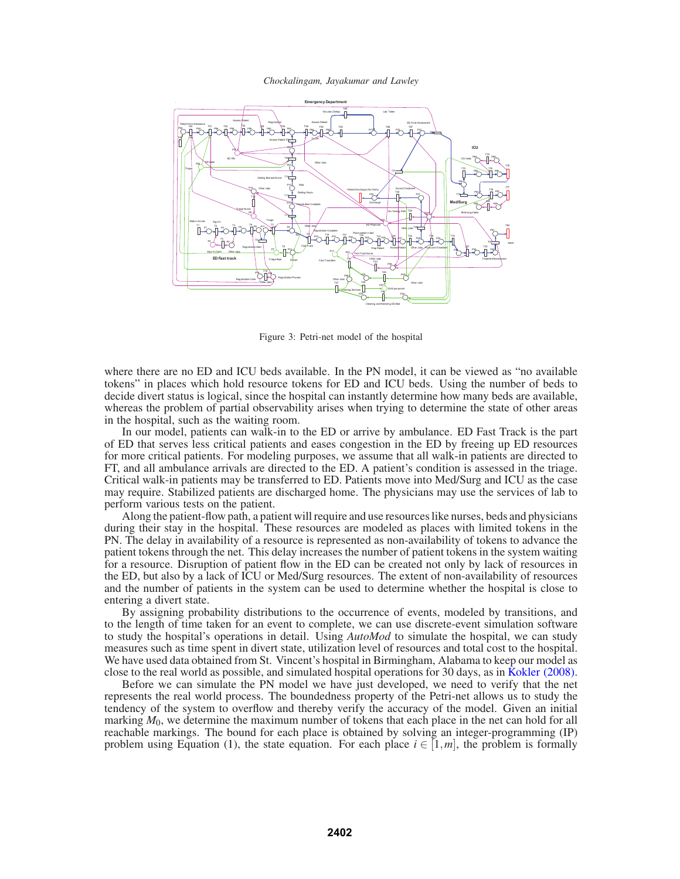

Figure 3: Petri-net model of the hospital

where there are no ED and ICU beds available. In the PN model, it can be viewed as "no available tokens" in places which hold resource tokens for ED and ICU beds. Using the number of beds to decide divert status is logical, since the hospital can instantly determine how many beds are available, whereas the problem of partial observability arises when trying to determine the state of other areas in the hospital, such as the waiting room.

In our model, patients can walk-in to the ED or arrive by ambulance. ED Fast Track is the part of ED that serves less critical patients and eases congestion in the ED by freeing up ED resources for more critical patients. For modeling purposes, we assume that all walk-in patients are directed to FT, and all ambulance arrivals are directed to the ED. A patient's condition is assessed in the triage. Critical walk-in patients may be transferred to ED. Patients move into Med/Surg and ICU as the case may require. Stabilized patients are discharged home. The physicians may use the services of lab to perform various tests on the patient.

Along the patient-flow path, a patient will require and use resources like nurses, beds and physicians during their stay in the hospital. These resources are modeled as places with limited tokens in the PN. The delay in availability of a resource is represented as non-availability of tokens to advance the patient tokens through the net. This delay increases the number of patient tokens in the system waiting for a resource. Disruption of patient flow in the ED can be created not only by lack of resources in the ED, but also by a lack of ICU or Med/Surg resources. The extent of non-availability of resources and the number of patients in the system can be used to determine whether the hospital is close to entering a divert state.

By assigning probability distributions to the occurrence of events, modeled by transitions, and to the length of time taken for an event to complete, we can use discrete-event simulation software to study the hospital's operations in detail. Using *AutoMod* to simulate the hospital, we can study measures such as time spent in divert state, utilization level of resources and total cost to the hospital. We have used data obtained from St. Vincent's hospital in Birmingham, Alabama to keep our model as close to the real world as possible, and simulated hospital operations for 30 days, as in Kokler (2008).

Before we can simulate the PN model we have just developed, we need to verify that the net represents the real world process. The boundedness property of the Petri-net allows us to study the tendency of the system to overflow and thereby verify the accuracy of the model. Given an initial marking  $M_0$ , we determine the maximum number of tokens that each place in the net can hold for all reachable markings. The bound for each place is obtained by solving an integer-programming (IP) problem using Equation (1), the state equation. For each place  $i \in [1,m]$ , the problem is formally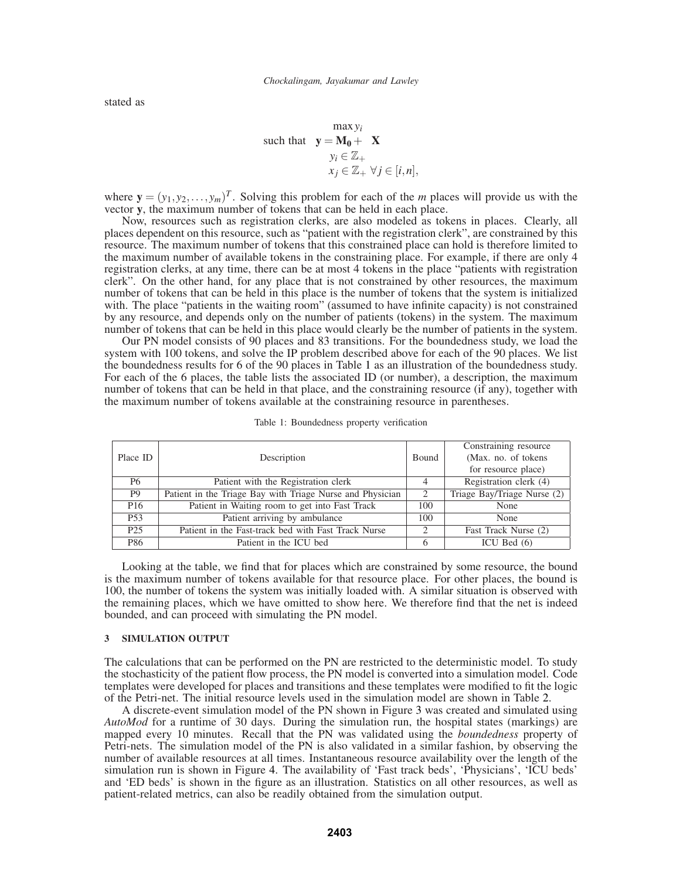stated as

$$
\begin{aligned}\n\max y_i \\
\text{such that} \quad \mathbf{y} &= \mathbf{M_0} + \phi \mathbf{X} \\
y_i &\in \mathbb{Z}_+ \\
x_j &\in \mathbb{Z}_+ \ \forall j \in [i, n],\n\end{aligned}
$$

where  $\mathbf{y} = (y_1, y_2, \dots, y_m)^T$ . Solving this problem for each of the *m* places will provide us with the vector **y**, the maximum number of tokens that can be held in each place.

Now, resources such as registration clerks, are also modeled as tokens in places. Clearly, all places dependent on this resource, such as "patient with the registration clerk", are constrained by this resource. The maximum number of tokens that this constrained place can hold is therefore limited to the maximum number of available tokens in the constraining place. For example, if there are only 4 registration clerks, at any time, there can be at most 4 tokens in the place "patients with registration clerk". On the other hand, for any place that is not constrained by other resources, the maximum number of tokens that can be held in this place is the number of tokens that the system is initialized with. The place "patients in the waiting room" (assumed to have infinite capacity) is not constrained by any resource, and depends only on the number of patients (tokens) in the system. The maximum number of tokens that can be held in this place would clearly be the number of patients in the system.

Our PN model consists of 90 places and 83 transitions. For the boundedness study, we load the system with 100 tokens, and solve the IP problem described above for each of the 90 places. We list the boundedness results for 6 of the 90 places in Table 1 as an illustration of the boundedness study. For each of the 6 places, the table lists the associated ID (or number), a description, the maximum number of tokens that can be held in that place, and the constraining resource (if any), together with the maximum number of tokens available at the constraining resource in parentheses.

|                 |                                                           |                               | Constraining resource       |
|-----------------|-----------------------------------------------------------|-------------------------------|-----------------------------|
| Place ID        | Description                                               | <b>Bound</b>                  | (Max. no. of tokens)        |
|                 |                                                           |                               | for resource place)         |
| P <sub>6</sub>  | Patient with the Registration clerk                       |                               | Registration clerk (4)      |
| P <sub>9</sub>  | Patient in the Triage Bay with Triage Nurse and Physician | $\mathfrak{D}_{\mathfrak{p}}$ | Triage Bay/Triage Nurse (2) |
| P <sub>16</sub> | Patient in Waiting room to get into Fast Track            | 100                           | None                        |
| P <sub>53</sub> | Patient arriving by ambulance                             | 100                           | None                        |
| P <sub>25</sub> | Patient in the Fast-track bed with Fast Track Nurse       |                               | Fast Track Nurse (2)        |
| P86             | Patient in the ICU bed                                    | 6                             | ICU Bed $(6)$               |

Table 1: Boundedness property verification

Looking at the table, we find that for places which are constrained by some resource, the bound is the maximum number of tokens available for that resource place. For other places, the bound is 100, the number of tokens the system was initially loaded with. A similar situation is observed with the remaining places, which we have omitted to show here. We therefore find that the net is indeed bounded, and can proceed with simulating the PN model.

### **3 SIMULATION OUTPUT**

The calculations that can be performed on the PN are restricted to the deterministic model. To study the stochasticity of the patient flow process, the PN model is converted into a simulation model. Code templates were developed for places and transitions and these templates were modified to fit the logic of the Petri-net. The initial resource levels used in the simulation model are shown in Table 2.

A discrete-event simulation model of the PN shown in Figure 3 was created and simulated using *AutoMod* for a runtime of 30 days. During the simulation run, the hospital states (markings) are mapped every 10 minutes. Recall that the PN was validated using the *boundedness* property of Petri-nets. The simulation model of the PN is also validated in a similar fashion, by observing the number of available resources at all times. Instantaneous resource availability over the length of the simulation run is shown in Figure 4. The availability of 'Fast track beds', 'Physicians', 'ICU beds' and 'ED beds' is shown in the figure as an illustration. Statistics on all other resources, as well as patient-related metrics, can also be readily obtained from the simulation output.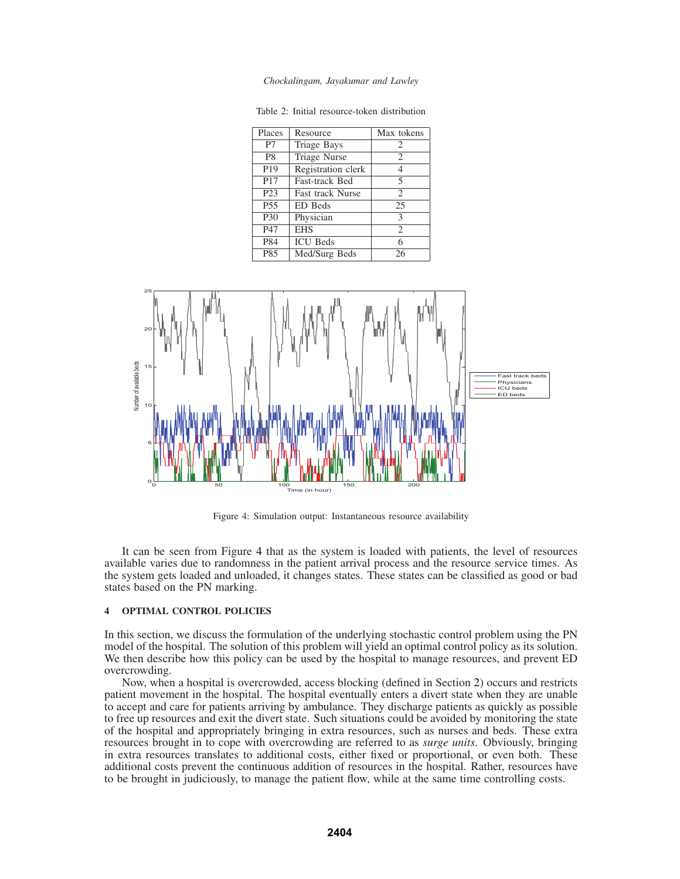*Chockalingam, Jayakumar and Lawley*

| Places           | Resource                | Max tokens         |
|------------------|-------------------------|--------------------|
| P7               | <b>Triage Bays</b>      | $\overline{c}$     |
| P <sub>8</sub>   | <b>Triage Nurse</b>     | $\overline{2}$     |
| P <sub>19</sub>  | Registration clerk      | 4                  |
| P <sub>17</sub>  | Fast-track Bed          | 5                  |
| P <sub>2</sub> 3 | <b>Fast track Nurse</b> | $\mathfrak{D}_{1}$ |
| P <sub>55</sub>  | ED Beds                 | 25                 |
| P30              | Physician               | 3                  |
| P47              | <b>EHS</b>              | $\overline{c}$     |
| P84              | <b>ICU</b> Beds         | 6                  |
| P85              | Med/Surg Beds           | 26                 |

Table 2: Initial resource-token distribution



Figure 4: Simulation output: Instantaneous resource availability

It can be seen from Figure 4 that as the system is loaded with patients, the level of resources available varies due to randomness in the patient arrival process and the resource service times. As the system gets loaded and unloaded, it changes states. These states can be classified as good or bad states based on the PN marking.

# **4 OPTIMAL CONTROL POLICIES**

In this section, we discuss the formulation of the underlying stochastic control problem using the PN model of the hospital. The solution of this problem will yield an optimal control policy as its solution. We then describe how this policy can be used by the hospital to manage resources, and prevent ED overcrowding.

Now, when a hospital is overcrowded, access blocking (defined in Section 2) occurs and restricts patient movement in the hospital. The hospital eventually enters a divert state when they are unable to accept and care for patients arriving by ambulance. They discharge patients as quickly as possible to free up resources and exit the divert state. Such situations could be avoided by monitoring the state of the hospital and appropriately bringing in extra resources, such as nurses and beds. These extra resources brought in to cope with overcrowding are referred to as *surge units*. Obviously, bringing in extra resources translates to additional costs, either fixed or proportional, or even both. These additional costs prevent the continuous addition of resources in the hospital. Rather, resources have to be brought in judiciously, to manage the patient flow, while at the same time controlling costs.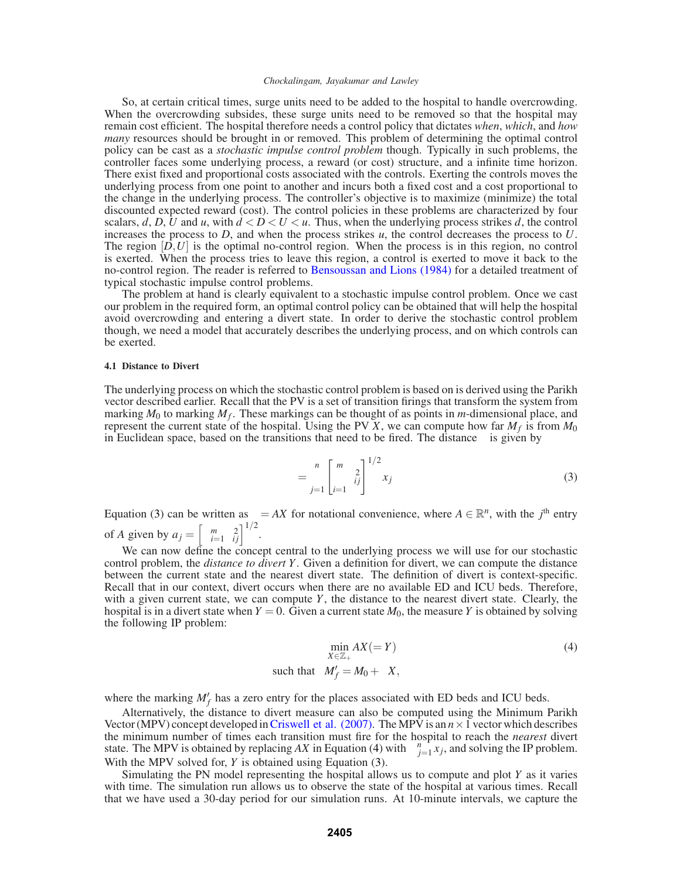So, at certain critical times, surge units need to be added to the hospital to handle overcrowding. When the overcrowding subsides, these surge units need to be removed so that the hospital may remain cost efficient. The hospital therefore needs a control policy that dictates *when*, *which*, and *how many* resources should be brought in or removed. This problem of determining the optimal control policy can be cast as a *stochastic impulse control problem* though. Typically in such problems, the controller faces some underlying process, a reward (or cost) structure, and a infinite time horizon. There exist fixed and proportional costs associated with the controls. Exerting the controls moves the underlying process from one point to another and incurs both a fixed cost and a cost proportional to the change in the underlying process. The controller's objective is to maximize (minimize) the total discounted expected reward (cost). The control policies in these problems are characterized by four scalars,  $d$ ,  $D$ ,  $U$  and  $u$ , with  $d < D < U < u$ . Thus, when the underlying process strikes  $d$ , the control increases the process to *D*, and when the process strikes *u*, the control decreases the process to *U*. The region  $[D, U]$  is the optimal no-control region. When the process is in this region, no control is exerted. When the process tries to leave this region, a control is exerted to move it back to the no-control region. The reader is referred to Bensoussan and Lions (1984) for a detailed treatment of typical stochastic impulse control problems.

The problem at hand is clearly equivalent to a stochastic impulse control problem. Once we cast our problem in the required form, an optimal control policy can be obtained that will help the hospital avoid overcrowding and entering a divert state. In order to derive the stochastic control problem though, we need a model that accurately describes the underlying process, and on which controls can be exerted.

## **4.1 Distance to Divert**

The underlying process on which the stochastic control problem is based on is derived using the Parikh vector described earlier. Recall that the PV is a set of transition firings that transform the system from marking  $M_0$  to marking  $M_f$ . These markings can be thought of as points in *m*-dimensional place, and represent the current state of the hospital. Using the PV  $\bar{X}$ , we can compute how far  $M_f$  is from  $M_0$ in Euclidean space, based on the transitions that need to be fired. The distance  $\gamma$  is given by

$$
\gamma = \sum_{j=1}^{n} \left[ \sum_{i=1}^{m} \phi_{ij}^{2} \right]^{1/2} x_j
$$
 (3)

Equation (3) can be written as  $\gamma = AX$  for notational convenience, where  $A \in \mathbb{R}^n$ , with the *j*<sup>th</sup> entry of *A* given by  $a_j = \left[ \sum_{i=1}^m \phi_{ij}^2 \right]^{1/2}$ .

We can now define the concept central to the underlying process we will use for our stochastic control problem, the *distance to divert Y*. Given a definition for divert, we can compute the distance between the current state and the nearest divert state. The definition of divert is context-specific. Recall that in our context, divert occurs when there are no available ED and ICU beds. Therefore, with a given current state, we can compute *Y*, the distance to the nearest divert state. Clearly, the hospital is in a divert state when  $Y = 0$ . Given a current state  $M_0$ , the measure *Y* is obtained by solving the following IP problem:

$$
\min_{X \in \mathbb{Z}_+} AX (= Y)
$$
\nsuch that

\n
$$
M'_f = M_0 + \phi X,
$$
\n(4)

where the marking  $M'_f$  has a zero entry for the places associated with ED beds and ICU beds.

Alternatively, the distance to divert measure can also be computed using the Minimum Parikh Vector (MPV) concept developed in Criswell et al. (2007). The MPV is an  $n \times 1$  vector which describes the minimum number of times each transition must fire for the hospital to reach the *nearest* divert state. The MPV is obtained by replacing *AX* in Equation (4) with  $\sum_{j=1}^{n} x_j$ , and solving the IP problem. With the MPV solved for, *Y* is obtained using Equation (3).

Simulating the PN model representing the hospital allows us to compute and plot *Y* as it varies with time. The simulation run allows us to observe the state of the hospital at various times. Recall that we have used a 30-day period for our simulation runs. At 10-minute intervals, we capture the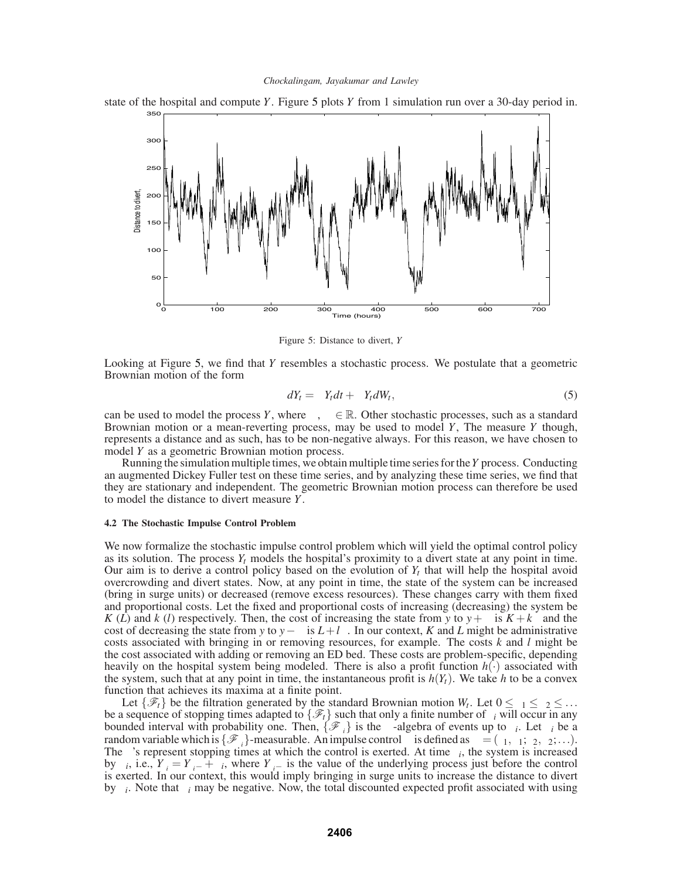

state of the hospital and compute *Y*. Figure 5 plots *Y* from 1 simulation run over a 30-day period in.

Figure 5: Distance to divert, *Y*

Looking at Figure 5, we find that *Y* resembles a stochastic process. We postulate that a geometric Brownian motion of the form

$$
dY_t = \mu Y_t dt + \sigma Y_t dW_t, \qquad (5)
$$

can be used to model the process *Y*, where  $\mu$ ,  $\sigma \in \mathbb{R}$ . Other stochastic processes, such as a standard Brownian motion or a mean-reverting process, may be used to model *Y*, The measure *Y* though, represents a distance and as such, has to be non-negative always. For this reason, we have chosen to model *Y* as a geometric Brownian motion process.

Running the simulation multiple times, we obtain multiple time series for the*Y* process. Conducting an augmented Dickey Fuller test on these time series, and by analyzing these time series, we find that they are stationary and independent. The geometric Brownian motion process can therefore be used to model the distance to divert measure *Y*.

#### **4.2 The Stochastic Impulse Control Problem**

We now formalize the stochastic impulse control problem which will yield the optimal control policy as its solution. The process  $Y_t$  models the hospital's proximity to a divert state at any point in time. Our aim is to derive a control policy based on the evolution of *Yt* that will help the hospital avoid overcrowding and divert states. Now, at any point in time, the state of the system can be increased (bring in surge units) or decreased (remove excess resources). These changes carry with them fixed and proportional costs. Let the fixed and proportional costs of increasing (decreasing) the system be *K* (*L*) and *k* (*l*) respectively. Then, the cost of increasing the state from *y* to  $y + \delta$  is  $K + k\delta$  and the cost of decreasing the state from *y* to *y*− $\delta$  is *L*+*l* $\delta$ . In our context, *K* and *L* might be administrative costs associated with bringing in or removing resources, for example. The costs *k* and *l* might be the cost associated with adding or removing an ED bed. These costs are problem-specific, depending heavily on the hospital system being modeled. There is also a profit function *h*(·) associated with the system, such that at any point in time, the instantaneous profit is  $h(Y_t)$ . We take h to be a convex function that achieves its maxima at a finite point.

Let  $\{\mathscr{F}_t\}$  be the filtration generated by the standard Brownian motion  $W_t$ . Let  $0 \le \tau_1 \le \tau_2 \le \ldots$ be a sequence of stopping times adapted to  $\{\mathscr{F}_t\}$  such that only a finite number of  $\tau_i$  will occur in any bounded interval with probability one. Then,  $\{\mathscr{F}_{\tau_i}\}$  is the  $\sigma$ -algebra of events up to  $\tau_i$ . Let  $\xi_i$  be a random variable which is  $\{\mathcal{F}_{\tau_i}\}$ -measurable. An impulse control  $\psi$  is defined as  $\psi = (\tau_1, \xi_1; \tau_2, \xi_2; \ldots)$ . The  $\tau$ 's represent stopping times at which the control is exerted. At time  $\tau_i$ , the system is increased by ξ*i*, i.e., *Y*<sub>τ*i*</sub> = *Y*<sub>τ*i*</sub>− + ξ*i*, where *Y*<sub>τ*i*</sub>− is the value of the underlying process just before the control is exerted. In our context, this would imply bringing in surge units to increase the distance to divert by  $\xi_i$ . Note that  $\xi_i$  may be negative. Now, the total discounted expected profit associated with using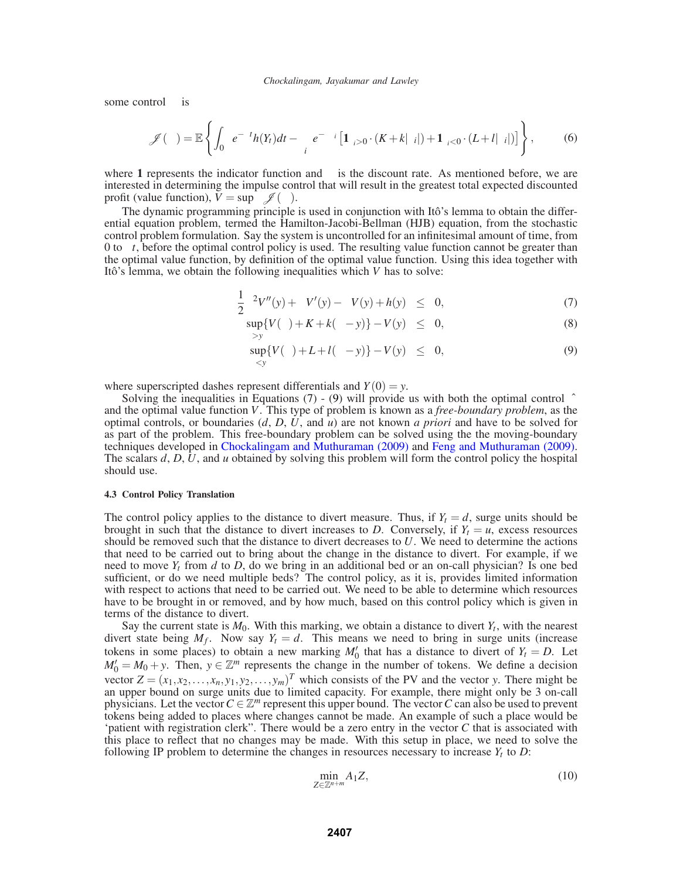some control  $\psi$  is

$$
\mathscr{J}(\psi) = \mathbb{E}\left\{\int_0^\infty e^{-\theta t} h(Y_t) dt - \sum_i e^{-\theta \tau_i} \left[\mathbf{1}_{\xi_i>0} \cdot (K + k|\xi_i|) + \mathbf{1}_{\xi_i<0} \cdot (L + l|\xi_i|) \right] \right\},\tag{6}
$$

where 1 represents the indicator function and  $\theta$  is the discount rate. As mentioned before, we are interested in determining the impulse control that will result in the greatest total expected discounted profit (value function),  $\bar{V} = \sup_{\psi} \mathcal{J}(\psi)$ .

The dynamic programming principle is used in conjunction with Itô's lemma to obtain the differential equation problem, termed the Hamilton-Jacobi-Bellman (HJB) equation, from the stochastic control problem formulation. Say the system is uncontrolled for an infinitesimal amount of time, from 0 to ∆*t*, before the optimal control policy is used. The resulting value function cannot be greater than the optimal value function, by definition of the optimal value function. Using this idea together with Itô's lemma, we obtain the following inequalities which *V* has to solve:

$$
\frac{1}{2}\sigma^2 V''(y) + \mu V'(y) - \theta V(y) + h(y) \leq 0,
$$
\n(7)

$$
\sup_{\xi>y} \{ V(\xi) + K + k(\xi - y) \} - V(y) \leq 0,
$$
\n(8)

$$
\sup_{\xi < y} \{ V(\xi) + L + l(\xi - y) \} - V(y) \leq 0, \tag{9}
$$

where superscripted dashes represent differentials and  $Y(0) = y$ .

Solving the inequalities in Equations (7) - (9) will provide us with both the optimal control  $\hat{\psi}$ and the optimal value function *V*. This type of problem is known as a *free-boundary problem*, as the optimal controls, or boundaries (*d*, *D*, *U*, and *u*) are not known *a priori* and have to be solved for as part of the problem. This free-boundary problem can be solved using the the moving-boundary techniques developed in Chockalingam and Muthuraman (2009) and Feng and Muthuraman (2009). The scalars *d*, *D*, *U*, and *u* obtained by solving this problem will form the control policy the hospital should use.

#### **4.3 Control Policy Translation**

The control policy applies to the distance to divert measure. Thus, if  $Y_t = d$ , surge units should be brought in such that the distance to divert increases to *D*. Conversely, if  $Y_t = u$ , excess resources should be removed such that the distance to divert decreases to *U*. We need to determine the actions that need to be carried out to bring about the change in the distance to divert. For example, if we need to move  $Y_t$  from  $d$  to  $D$ , do we bring in an additional bed or an on-call physician? Is one bed sufficient, or do we need multiple beds? The control policy, as it is, provides limited information with respect to actions that need to be carried out. We need to be able to determine which resources have to be brought in or removed, and by how much, based on this control policy which is given in terms of the distance to divert.

Say the current state is  $M_0$ . With this marking, we obtain a distance to divert  $Y_t$ , with the nearest divert state being  $M_f$ . Now say  $Y_t = d$ . This means we need to bring in surge units (increase tokens in some places) to obtain a new marking  $M'_0$  that has a distance to divert of  $Y_t = D$ . Let  $M'_0 = M_0 + y$ . Then,  $y \in \mathbb{Z}^m$  represents the change in the number of tokens. We define a decision vector  $Z = (x_1, x_2, \dots, x_n, y_1, y_2, \dots, y_m)^T$  which consists of the PV and the vector *y*. There might be an upper bound on surge units due to limited capacity. For example, there might only be 3 on-call physicians. Let the vector  $C \in \mathbb{Z}^m$  represent this upper bound. The vector C can also be used to prevent tokens being added to places where changes cannot be made. An example of such a place would be 'patient with registration clerk". There would be a zero entry in the vector *C* that is associated with this place to reflect that no changes may be made. With this setup in place, we need to solve the following IP problem to determine the changes in resources necessary to increase  $Y_t$  to  $D$ :

$$
\min_{Z \in \mathbb{Z}^{n+m}} A_1 Z,\tag{10}
$$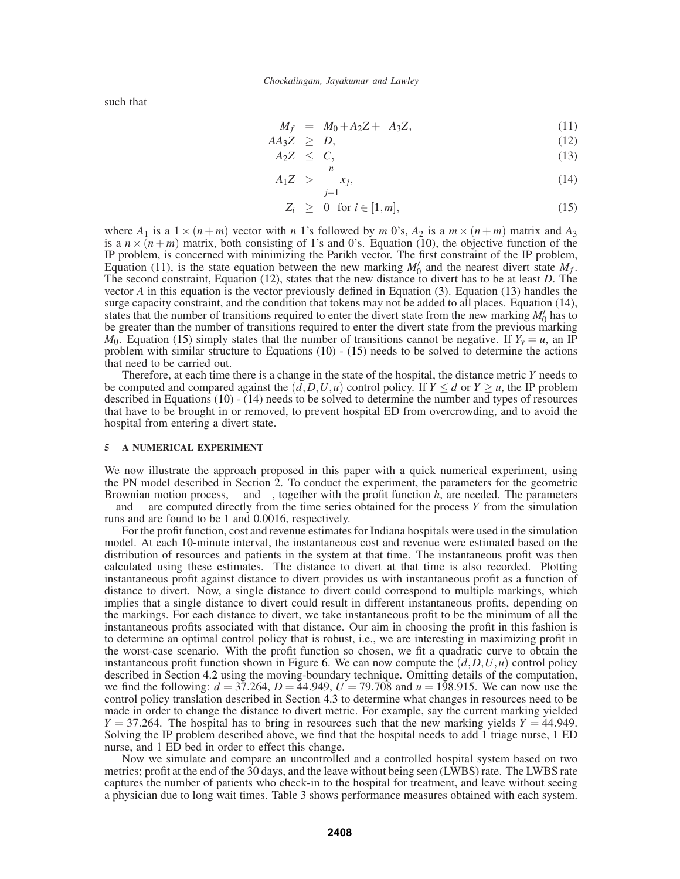such that

$$
M_f = M_0 + A_2 Z + \phi A_3 Z,\tag{11}
$$

$$
AA_3Z \geq D,\tag{12}
$$

$$
A_2 Z \leq C, \tag{13}
$$

$$
A_1 Z > \sum_{j=1} x_j,\tag{14}
$$

$$
Z_i \geq 0 \text{ for } i \in [1, m], \tag{15}
$$

where  $A_1$  is a  $1 \times (n+m)$  vector with *n* 1's followed by *m* 0's,  $A_2$  is a  $m \times (n+m)$  matrix and  $A_3$ is a  $n \times (n+m)$  matrix, both consisting of 1's and 0's. Equation (10), the objective function of the IP problem, is concerned with minimizing the Parikh vector. The first constraint of the IP problem, Equation (11), is the state equation between the new marking  $M'_0$  and the nearest divert state  $M_f$ . The second constraint, Equation (12), states that the new distance to divert has to be at least *D*. The vector *A* in this equation is the vector previously defined in Equation (3). Equation (13) handles the surge capacity constraint, and the condition that tokens may not be added to all places. Equation (14), states that the number of transitions required to enter the divert state from the new marking  $M'_0$  has to be greater than the number of transitions required to enter the divert state from the previous marking  $M_0$ . Equation (15) simply states that the number of transitions cannot be negative. If  $Y_y = u$ , an IP problem with similar structure to Equations  $(10)$  -  $(15)$  needs to be solved to determine the actions that need to be carried out.

Therefore, at each time there is a change in the state of the hospital, the distance metric *Y* needs to be computed and compared against the  $(d, D, U, u)$  control policy. If  $Y \le d$  or  $Y \ge u$ , the IP problem described in Equations (10) - (14) needs to be solved to determine the number and types of resources that have to be brought in or removed, to prevent hospital ED from overcrowding, and to avoid the hospital from entering a divert state.

### **5 A NUMERICAL EXPERIMENT**

We now illustrate the approach proposed in this paper with a quick numerical experiment, using the PN model described in Section 2. To conduct the experiment, the parameters for the geometric Brownian motion process,  $\mu$  and  $\sigma$ , together with the profit function *h*, are needed. The parameters  $\mu$  and  $\sigma$  are computed directly from the time series obtained for the process *Y* from the simulation runs and are found to be 1 and 0.0016, respectively.

For the profit function, cost and revenue estimates for Indiana hospitals were used in the simulation model. At each 10-minute interval, the instantaneous cost and revenue were estimated based on the distribution of resources and patients in the system at that time. The instantaneous profit was then calculated using these estimates. The distance to divert at that time is also recorded. Plotting instantaneous profit against distance to divert provides us with instantaneous profit as a function of distance to divert. Now, a single distance to divert could correspond to multiple markings, which implies that a single distance to divert could result in different instantaneous profits, depending on the markings. For each distance to divert, we take instantaneous profit to be the minimum of all the instantaneous profits associated with that distance. Our aim in choosing the profit in this fashion is to determine an optimal control policy that is robust, i.e., we are interesting in maximizing profit in the worst-case scenario. With the profit function so chosen, we fit a quadratic curve to obtain the instantaneous profit function shown in Figure 6. We can now compute the  $(d, D, U, u)$  control policy described in Section 4.2 using the moving-boundary technique. Omitting details of the computation, we find the following:  $d = 37.264$ ,  $D = 44.949$ ,  $U = 79.708$  and  $u = 198.915$ . We can now use the control policy translation described in Section 4.3 to determine what changes in resources need to be made in order to change the distance to divert metric. For example, say the current marking yielded  $Y = 37.264$ . The hospital has to bring in resources such that the new marking yields  $Y = 44.949$ . Solving the IP problem described above, we find that the hospital needs to add 1 triage nurse, 1 ED nurse, and 1 ED bed in order to effect this change.

Now we simulate and compare an uncontrolled and a controlled hospital system based on two metrics; profit at the end of the 30 days, and the leave without being seen (LWBS) rate. The LWBS rate captures the number of patients who check-in to the hospital for treatment, and leave without seeing a physician due to long wait times. Table 3 shows performance measures obtained with each system.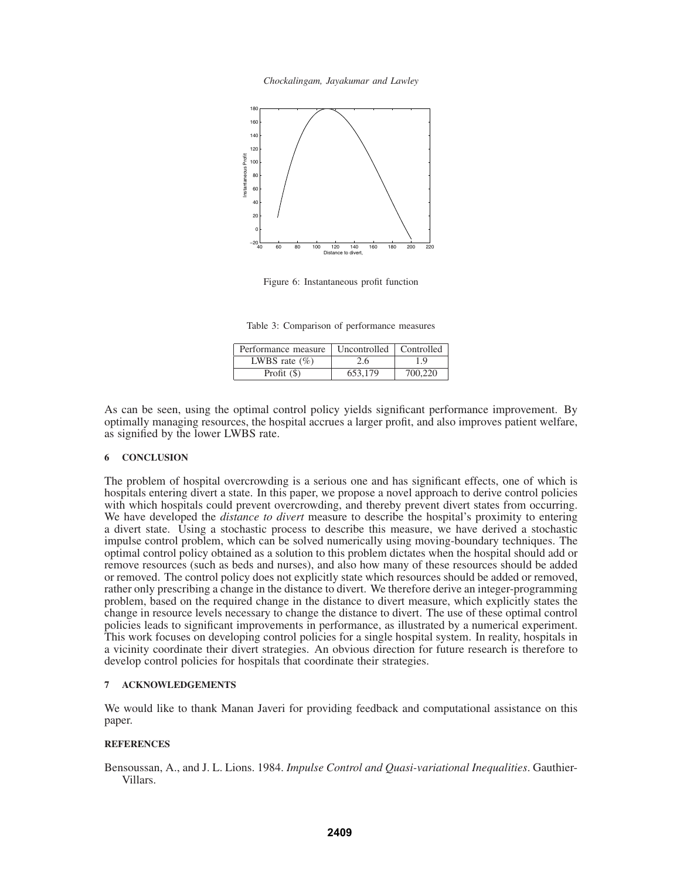*Chockalingam, Jayakumar and Lawley*



Figure 6: Instantaneous profit function

Table 3: Comparison of performance measures

| Performance measure | Uncontrolled   Controlled |         |
|---------------------|---------------------------|---------|
| LWBS rate $(\% )$   | 2.6                       | 19      |
| Profit $(\$)$       | 653.179                   | 700.220 |

As can be seen, using the optimal control policy yields significant performance improvement. By optimally managing resources, the hospital accrues a larger profit, and also improves patient welfare, as signified by the lower LWBS rate.

# **6 CONCLUSION**

The problem of hospital overcrowding is a serious one and has significant effects, one of which is hospitals entering divert a state. In this paper, we propose a novel approach to derive control policies with which hospitals could prevent overcrowding, and thereby prevent divert states from occurring. We have developed the *distance to divert* measure to describe the hospital's proximity to entering a divert state. Using a stochastic process to describe this measure, we have derived a stochastic impulse control problem, which can be solved numerically using moving-boundary techniques. The optimal control policy obtained as a solution to this problem dictates when the hospital should add or remove resources (such as beds and nurses), and also how many of these resources should be added or removed. The control policy does not explicitly state which resources should be added or removed, rather only prescribing a change in the distance to divert. We therefore derive an integer-programming problem, based on the required change in the distance to divert measure, which explicitly states the change in resource levels necessary to change the distance to divert. The use of these optimal control policies leads to significant improvements in performance, as illustrated by a numerical experiment. This work focuses on developing control policies for a single hospital system. In reality, hospitals in a vicinity coordinate their divert strategies. An obvious direction for future research is therefore to develop control policies for hospitals that coordinate their strategies.

# **7 ACKNOWLEDGEMENTS**

We would like to thank Manan Javeri for providing feedback and computational assistance on this paper.

#### **REFERENCES**

Bensoussan, A., and J. L. Lions. 1984. *Impulse Control and Quasi-variational Inequalities*. Gauthier-Villars.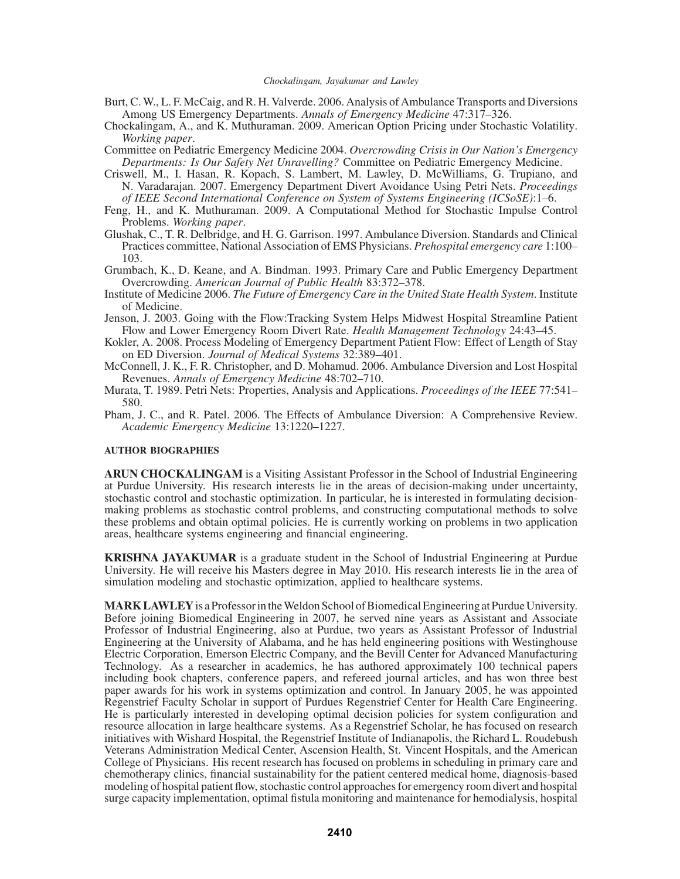- Burt, C. W., L. F. McCaig, and R. H. Valverde. 2006. Analysis of Ambulance Transports and Diversions Among US Emergency Departments. *Annals of Emergency Medicine* 47:317–326.
- Chockalingam, A., and K. Muthuraman. 2009. American Option Pricing under Stochastic Volatility. *Working paper*.
- Committee on Pediatric Emergency Medicine 2004. *Overcrowding Crisis in Our Nation's Emergency Departments: Is Our Safety Net Unravelling?* Committee on Pediatric Emergency Medicine.
- Criswell, M., I. Hasan, R. Kopach, S. Lambert, M. Lawley, D. McWilliams, G. Trupiano, and N. Varadarajan. 2007. Emergency Department Divert Avoidance Using Petri Nets. *Proceedings of IEEE Second International Conference on System of Systems Engineering (ICSoSE)*:1–6.
- Feng, H., and K. Muthuraman. 2009. A Computational Method for Stochastic Impulse Control Problems. *Working paper*.
- Glushak, C., T. R. Delbridge, and H. G. Garrison. 1997. Ambulance Diversion. Standards and Clinical Practices committee, National Association of EMS Physicians. *Prehospital emergency care* 1:100– 103.
- Grumbach, K., D. Keane, and A. Bindman. 1993. Primary Care and Public Emergency Department Overcrowding. *American Journal of Public Health* 83:372–378.
- Institute of Medicine 2006. *The Future of Emergency Care in the United State Health System*. Institute of Medicine.
- Jenson, J. 2003. Going with the Flow:Tracking System Helps Midwest Hospital Streamline Patient Flow and Lower Emergency Room Divert Rate. *Health Management Technology* 24:43–45.
- Kokler, A. 2008. Process Modeling of Emergency Department Patient Flow: Effect of Length of Stay on ED Diversion. *Journal of Medical Systems* 32:389–401.
- McConnell, J. K., F. R. Christopher, and D. Mohamud. 2006. Ambulance Diversion and Lost Hospital Revenues. *Annals of Emergency Medicine* 48:702–710.
- Murata, T. 1989. Petri Nets: Properties, Analysis and Applications. *Proceedings of the IEEE* 77:541– 580.
- Pham, J. C., and R. Patel. 2006. The Effects of Ambulance Diversion: A Comprehensive Review. *Academic Emergency Medicine* 13:1220–1227.

### **AUTHOR BIOGRAPHIES**

**ARUN CHOCKALINGAM** is a Visiting Assistant Professor in the School of Industrial Engineering at Purdue University. His research interests lie in the areas of decision-making under uncertainty, stochastic control and stochastic optimization. In particular, he is interested in formulating decisionmaking problems as stochastic control problems, and constructing computational methods to solve these problems and obtain optimal policies. He is currently working on problems in two application areas, healthcare systems engineering and financial engineering.

**KRISHNA JAYAKUMAR** is a graduate student in the School of Industrial Engineering at Purdue University. He will receive his Masters degree in May 2010. His research interests lie in the area of simulation modeling and stochastic optimization, applied to healthcare systems.

**MARK LAWLEY**is a Professor in the Weldon School of Biomedical Engineering at Purdue University. Before joining Biomedical Engineering in 2007, he served nine years as Assistant and Associate Professor of Industrial Engineering, also at Purdue, two years as Assistant Professor of Industrial Engineering at the University of Alabama, and he has held engineering positions with Westinghouse Electric Corporation, Emerson Electric Company, and the Bevill Center for Advanced Manufacturing Technology. As a researcher in academics, he has authored approximately 100 technical papers including book chapters, conference papers, and refereed journal articles, and has won three best paper awards for his work in systems optimization and control. In January 2005, he was appointed Regenstrief Faculty Scholar in support of Purdues Regenstrief Center for Health Care Engineering. He is particularly interested in developing optimal decision policies for system configuration and resource allocation in large healthcare systems. As a Regenstrief Scholar, he has focused on research initiatives with Wishard Hospital, the Regenstrief Institute of Indianapolis, the Richard L. Roudebush Veterans Administration Medical Center, Ascension Health, St. Vincent Hospitals, and the American College of Physicians. His recent research has focused on problems in scheduling in primary care and chemotherapy clinics, financial sustainability for the patient centered medical home, diagnosis-based modeling of hospital patient flow, stochastic control approaches for emergency room divert and hospital surge capacity implementation, optimal fistula monitoring and maintenance for hemodialysis, hospital